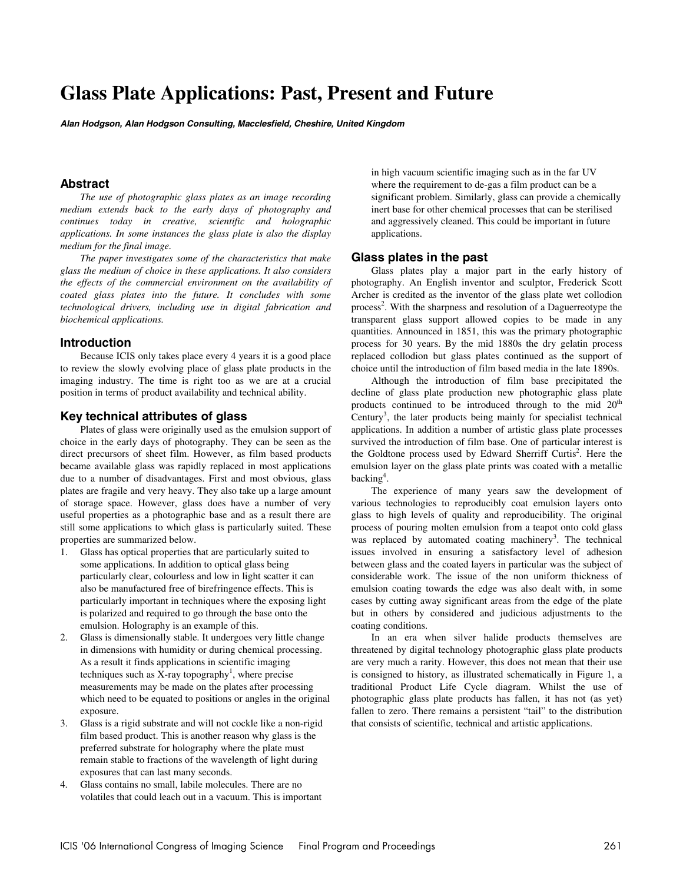# **Glass Plate Applications: Past, Present and Future**

**Alan Hodgson, Alan Hodgson Consulting, Macclesfield, Cheshire, United Kingdom** 

# **Abstract**

*The use of photographic glass plates as an image recording medium extends back to the early days of photography and continues today in creative, scientific and holographic applications. In some instances the glass plate is also the display medium for the final image.* 

*The paper investigates some of the characteristics that make glass the medium of choice in these applications. It also considers the effects of the commercial environment on the availability of coated glass plates into the future. It concludes with some technological drivers, including use in digital fabrication and biochemical applications.* 

# **Introduction**

Because ICIS only takes place every 4 years it is a good place to review the slowly evolving place of glass plate products in the imaging industry. The time is right too as we are at a crucial position in terms of product availability and technical ability.

# **Key technical attributes of glass**

Plates of glass were originally used as the emulsion support of choice in the early days of photography. They can be seen as the direct precursors of sheet film. However, as film based products became available glass was rapidly replaced in most applications due to a number of disadvantages. First and most obvious, glass plates are fragile and very heavy. They also take up a large amount of storage space. However, glass does have a number of very useful properties as a photographic base and as a result there are still some applications to which glass is particularly suited. These properties are summarized below.

- 1. Glass has optical properties that are particularly suited to some applications. In addition to optical glass being particularly clear, colourless and low in light scatter it can also be manufactured free of birefringence effects. This is particularly important in techniques where the exposing light is polarized and required to go through the base onto the emulsion. Holography is an example of this.
- 2. Glass is dimensionally stable. It undergoes very little change in dimensions with humidity or during chemical processing. As a result it finds applications in scientific imaging techniques such as X-ray topography<sup>1</sup>, where precise measurements may be made on the plates after processing which need to be equated to positions or angles in the original exposure.
- 3. Glass is a rigid substrate and will not cockle like a non-rigid film based product. This is another reason why glass is the preferred substrate for holography where the plate must remain stable to fractions of the wavelength of light during exposures that can last many seconds.
- 4. Glass contains no small, labile molecules. There are no volatiles that could leach out in a vacuum. This is important

in high vacuum scientific imaging such as in the far UV where the requirement to de-gas a film product can be a significant problem. Similarly, glass can provide a chemically inert base for other chemical processes that can be sterilised and aggressively cleaned. This could be important in future applications.

#### **Glass plates in the past**

Glass plates play a major part in the early history of photography. An English inventor and sculptor, Frederick Scott Archer is credited as the inventor of the glass plate wet collodion process<sup>2</sup>. With the sharpness and resolution of a Daguerreotype the transparent glass support allowed copies to be made in any quantities. Announced in 1851, this was the primary photographic process for 30 years. By the mid 1880s the dry gelatin process replaced collodion but glass plates continued as the support of choice until the introduction of film based media in the late 1890s.

Although the introduction of film base precipitated the decline of glass plate production new photographic glass plate products continued to be introduced through to the mid  $20<sup>th</sup>$ Century<sup>3</sup>, the later products being mainly for specialist technical applications. In addition a number of artistic glass plate processes survived the introduction of film base. One of particular interest is the Goldtone process used by Edward Sherriff Curtis<sup>2</sup>. Here the emulsion layer on the glass plate prints was coated with a metallic backing<sup>4</sup>.

The experience of many years saw the development of various technologies to reproducibly coat emulsion layers onto glass to high levels of quality and reproducibility. The original process of pouring molten emulsion from a teapot onto cold glass was replaced by automated coating machinery<sup>3</sup>. The technical issues involved in ensuring a satisfactory level of adhesion between glass and the coated layers in particular was the subject of considerable work. The issue of the non uniform thickness of emulsion coating towards the edge was also dealt with, in some cases by cutting away significant areas from the edge of the plate but in others by considered and judicious adjustments to the coating conditions.

In an era when silver halide products themselves are threatened by digital technology photographic glass plate products are very much a rarity. However, this does not mean that their use is consigned to history, as illustrated schematically in Figure 1, a traditional Product Life Cycle diagram. Whilst the use of photographic glass plate products has fallen, it has not (as yet) fallen to zero. There remains a persistent "tail" to the distribution that consists of scientific, technical and artistic applications.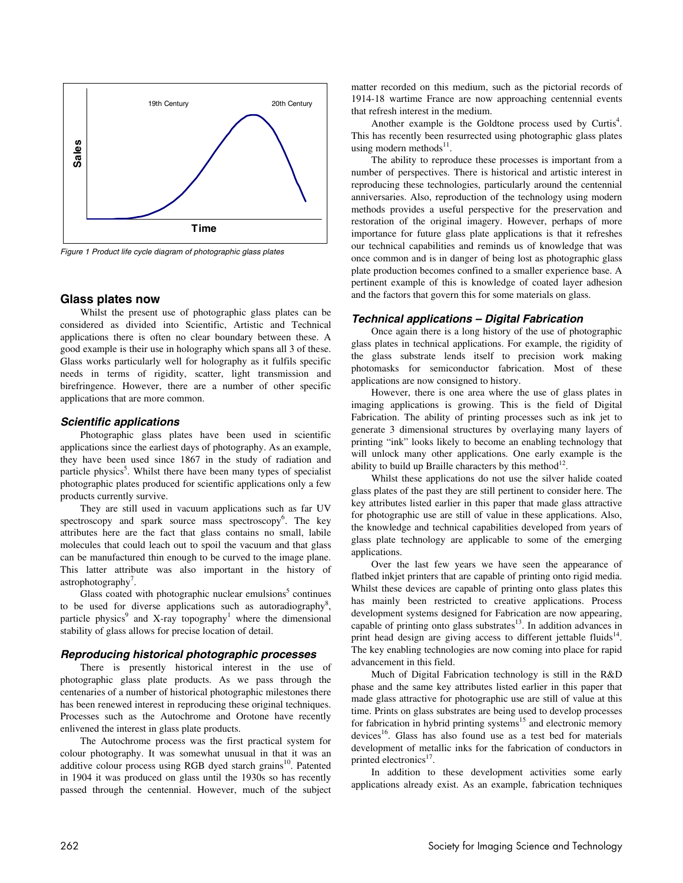

Figure 1 Product life cycle diagram of photographic glass plates

#### **Glass plates now**

Whilst the present use of photographic glass plates can be considered as divided into Scientific, Artistic and Technical applications there is often no clear boundary between these. A good example is their use in holography which spans all 3 of these. Glass works particularly well for holography as it fulfils specific needs in terms of rigidity, scatter, light transmission and birefringence. However, there are a number of other specific applications that are more common.

#### **Scientific applications**

Photographic glass plates have been used in scientific applications since the earliest days of photography. As an example, they have been used since 1867 in the study of radiation and particle physics<sup>5</sup>. Whilst there have been many types of specialist photographic plates produced for scientific applications only a few products currently survive.

They are still used in vacuum applications such as far UV spectroscopy and spark source mass spectroscopy<sup>6</sup>. The key attributes here are the fact that glass contains no small, labile molecules that could leach out to spoil the vacuum and that glass can be manufactured thin enough to be curved to the image plane. This latter attribute was also important in the history of astrophotography<sup>7</sup>.

Glass coated with photographic nuclear emulsions<sup>5</sup> continues to be used for diverse applications such as autoradiography<sup>8</sup>, particle physics<sup>9</sup> and X-ray topography<sup>1</sup> where the dimensional stability of glass allows for precise location of detail.

#### **Reproducing historical photographic processes**

There is presently historical interest in the use of photographic glass plate products. As we pass through the centenaries of a number of historical photographic milestones there has been renewed interest in reproducing these original techniques. Processes such as the Autochrome and Orotone have recently enlivened the interest in glass plate products.

The Autochrome process was the first practical system for colour photography. It was somewhat unusual in that it was an additive colour process using RGB dyed starch grains<sup>10</sup>. Patented in 1904 it was produced on glass until the 1930s so has recently passed through the centennial. However, much of the subject matter recorded on this medium, such as the pictorial records of 1914-18 wartime France are now approaching centennial events that refresh interest in the medium.

Another example is the Goldtone process used by Curtis<sup>4</sup>. This has recently been resurrected using photographic glass plates using modern methods $^{11}$ .

The ability to reproduce these processes is important from a number of perspectives. There is historical and artistic interest in reproducing these technologies, particularly around the centennial anniversaries. Also, reproduction of the technology using modern methods provides a useful perspective for the preservation and restoration of the original imagery. However, perhaps of more importance for future glass plate applications is that it refreshes our technical capabilities and reminds us of knowledge that was once common and is in danger of being lost as photographic glass plate production becomes confined to a smaller experience base. A pertinent example of this is knowledge of coated layer adhesion and the factors that govern this for some materials on glass.

#### **Technical applications – Digital Fabrication**

Once again there is a long history of the use of photographic glass plates in technical applications. For example, the rigidity of the glass substrate lends itself to precision work making photomasks for semiconductor fabrication. Most of these applications are now consigned to history.

However, there is one area where the use of glass plates in imaging applications is growing. This is the field of Digital Fabrication. The ability of printing processes such as ink jet to generate 3 dimensional structures by overlaying many layers of printing "ink" looks likely to become an enabling technology that will unlock many other applications. One early example is the ability to build up Braille characters by this method<sup>12</sup>.

Whilst these applications do not use the silver halide coated glass plates of the past they are still pertinent to consider here. The key attributes listed earlier in this paper that made glass attractive for photographic use are still of value in these applications. Also, the knowledge and technical capabilities developed from years of glass plate technology are applicable to some of the emerging applications.

Over the last few years we have seen the appearance of flatbed inkjet printers that are capable of printing onto rigid media. Whilst these devices are capable of printing onto glass plates this has mainly been restricted to creative applications. Process development systems designed for Fabrication are now appearing, capable of printing onto glass substrates $^{13}$ . In addition advances in print head design are giving access to different jettable fluids $14$ . The key enabling technologies are now coming into place for rapid advancement in this field.

Much of Digital Fabrication technology is still in the R&D phase and the same key attributes listed earlier in this paper that made glass attractive for photographic use are still of value at this time. Prints on glass substrates are being used to develop processes for fabrication in hybrid printing systems<sup>15</sup> and electronic memory devices<sup>16</sup>. Glass has also found use as a test bed for materials development of metallic inks for the fabrication of conductors in printed electronics<sup>17</sup>.

In addition to these development activities some early applications already exist. As an example, fabrication techniques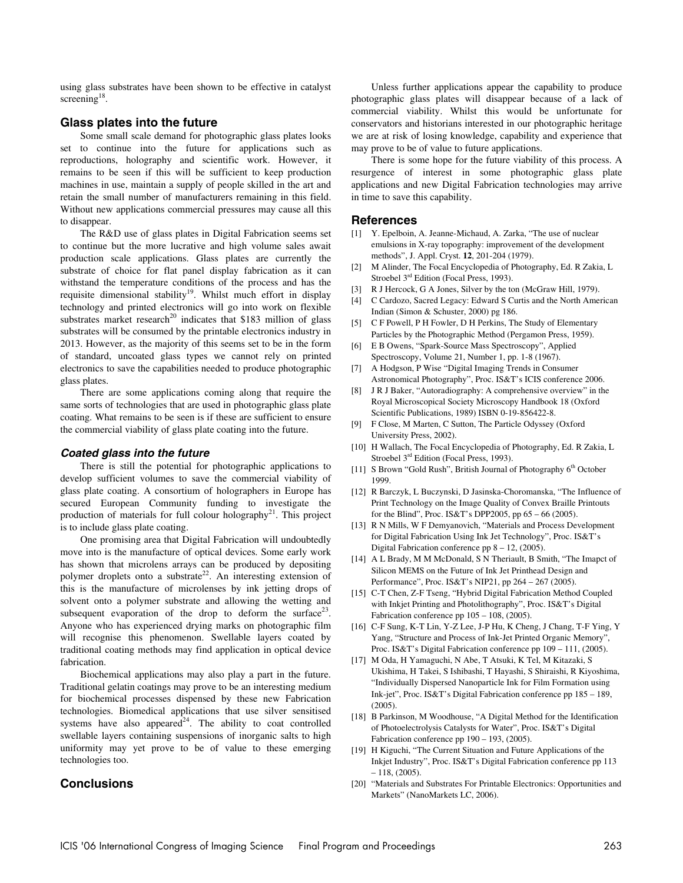using glass substrates have been shown to be effective in catalyst screening<sup>18</sup>.

#### **Glass plates into the future**

Some small scale demand for photographic glass plates looks set to continue into the future for applications such as reproductions, holography and scientific work. However, it remains to be seen if this will be sufficient to keep production machines in use, maintain a supply of people skilled in the art and retain the small number of manufacturers remaining in this field. Without new applications commercial pressures may cause all this to disappear.

The R&D use of glass plates in Digital Fabrication seems set to continue but the more lucrative and high volume sales await production scale applications. Glass plates are currently the substrate of choice for flat panel display fabrication as it can withstand the temperature conditions of the process and has the requisite dimensional stability<sup>19</sup>. Whilst much effort in display technology and printed electronics will go into work on flexible substrates market research<sup>20</sup> indicates that \$183 million of glass substrates will be consumed by the printable electronics industry in 2013. However, as the majority of this seems set to be in the form of standard, uncoated glass types we cannot rely on printed electronics to save the capabilities needed to produce photographic glass plates.

There are some applications coming along that require the same sorts of technologies that are used in photographic glass plate coating. What remains to be seen is if these are sufficient to ensure the commercial viability of glass plate coating into the future.

#### **Coated glass into the future**

There is still the potential for photographic applications to develop sufficient volumes to save the commercial viability of glass plate coating. A consortium of holographers in Europe has secured European Community funding to investigate the production of materials for full colour holography<sup>21</sup>. This project is to include glass plate coating.

One promising area that Digital Fabrication will undoubtedly move into is the manufacture of optical devices. Some early work has shown that microlens arrays can be produced by depositing polymer droplets onto a substrate<sup>22</sup>. An interesting extension of this is the manufacture of microlenses by ink jetting drops of solvent onto a polymer substrate and allowing the wetting and subsequent evaporation of the drop to deform the surface<sup>23</sup>. Anyone who has experienced drying marks on photographic film will recognise this phenomenon. Swellable layers coated by traditional coating methods may find application in optical device fabrication.

Biochemical applications may also play a part in the future. Traditional gelatin coatings may prove to be an interesting medium for biochemical processes dispensed by these new Fabrication technologies. Biomedical applications that use silver sensitised systems have also appeared<sup>24</sup>. The ability to coat controlled swellable layers containing suspensions of inorganic salts to high uniformity may yet prove to be of value to these emerging technologies too.

# **Conclusions**

Unless further applications appear the capability to produce photographic glass plates will disappear because of a lack of commercial viability. Whilst this would be unfortunate for conservators and historians interested in our photographic heritage we are at risk of losing knowledge, capability and experience that may prove to be of value to future applications.

There is some hope for the future viability of this process. A resurgence of interest in some photographic glass plate applications and new Digital Fabrication technologies may arrive in time to save this capability.

#### **References**

- [1] Y. Epelboin, A. Jeanne-Michaud, A. Zarka, "The use of nuclear emulsions in X-ray topography: improvement of the development methods", J. Appl. Cryst. **12**, 201-204 (1979).
- [2] M Alinder, The Focal Encyclopedia of Photography, Ed. R Zakia, L Stroebel 3<sup>rd</sup> Edition (Focal Press, 1993).
- [3] R J Hercock, G A Jones, Silver by the ton (McGraw Hill, 1979).
- [4] C Cardozo, Sacred Legacy: Edward S Curtis and the North American Indian (Simon & Schuster, 2000) pg 186.
- [5] C F Powell, P H Fowler, D H Perkins, The Study of Elementary Particles by the Photographic Method (Pergamon Press, 1959).
- [6] E B Owens, "Spark-Source Mass Spectroscopy", Applied Spectroscopy, Volume 21, Number 1, pp. 1-8 (1967).
- [7] A Hodgson, P Wise "Digital Imaging Trends in Consumer Astronomical Photography", Proc. IS&T's ICIS conference 2006.
- [8] J R J Baker, "Autoradiography: A comprehensive overview" in the Royal Microscopical Society Microscopy Handbook 18 (Oxford Scientific Publications, 1989) ISBN 0-19-856422-8.
- [9] F Close, M Marten, C Sutton, The Particle Odyssey (Oxford University Press, 2002).
- [10] H Wallach, The Focal Encyclopedia of Photography, Ed. R Zakia, L Stroebel 3<sup>rd</sup> Edition (Focal Press, 1993).
- [11] S Brown "Gold Rush", British Journal of Photography 6<sup>th</sup> October 1999.
- [12] R Barczyk, L Buczynski, D Jasinska-Choromanska, "The Influence of Print Technology on the Image Quality of Convex Braille Printouts for the Blind", Proc. IS&T's DPP2005, pp 65 – 66 (2005).
- [13] R N Mills, W F Demyanovich, "Materials and Process Development for Digital Fabrication Using Ink Jet Technology", Proc. IS&T's Digital Fabrication conference pp 8 – 12, (2005).
- [14] A L Brady, M M McDonald, S N Theriault, B Smith, "The Imapct of Silicon MEMS on the Future of Ink Jet Printhead Design and Performance", Proc. IS&T's NIP21, pp 264 – 267 (2005).
- [15] C-T Chen, Z-F Tseng, "Hybrid Digital Fabrication Method Coupled with Inkjet Printing and Photolithography", Proc. IS&T's Digital Fabrication conference pp  $105 - 108$ , (2005).
- [16] C-F Sung, K-T Lin, Y-Z Lee, J-P Hu, K Cheng, J Chang, T-F Ying, Y Yang, "Structure and Process of Ink-Jet Printed Organic Memory", Proc. IS&T's Digital Fabrication conference pp 109 – 111, (2005).
- [17] M Oda, H Yamaguchi, N Abe, T Atsuki, K Tel, M Kitazaki, S Ukishima, H Takei, S Ishibashi, T Hayashi, S Shiraishi, R Kiyoshima, "Individually Dispersed Nanoparticle Ink for Film Formation using Ink-jet", Proc. IS&T's Digital Fabrication conference pp 185 – 189, (2005).
- [18] B Parkinson, M Woodhouse, "A Digital Method for the Identification of Photoelectrolysis Catalysts for Water", Proc. IS&T's Digital Fabrication conference pp  $190 - 193$ , (2005).
- [19] H Kiguchi, "The Current Situation and Future Applications of the Inkjet Industry", Proc. IS&T's Digital Fabrication conference pp 113 – 118, (2005).
- [20] "Materials and Substrates For Printable Electronics: Opportunities and Markets" (NanoMarkets LC, 2006).